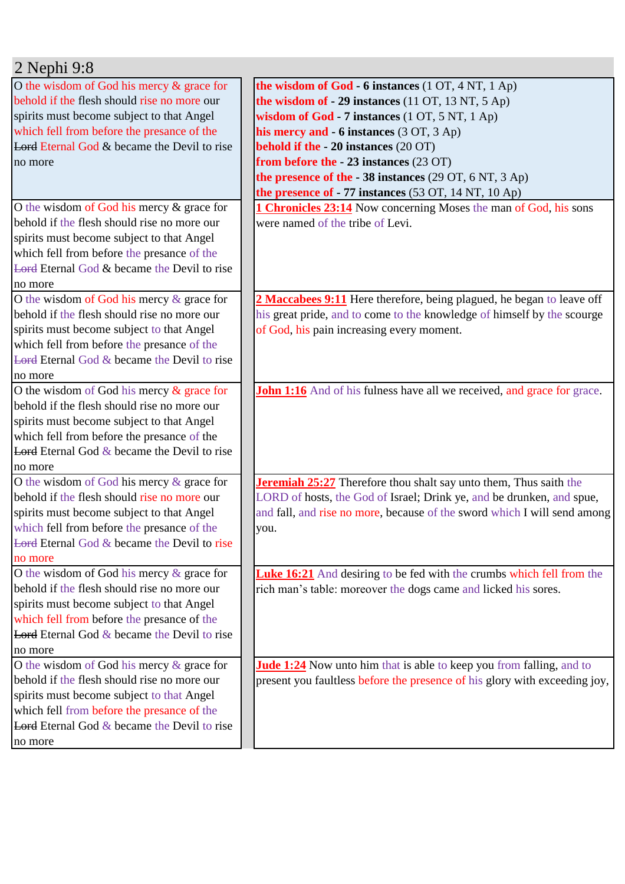| $2$ Nephi 9:8                                          |                                                                                |
|--------------------------------------------------------|--------------------------------------------------------------------------------|
| O the wisdom of God his mercy $\&$ grace for           | the wisdom of God $-6$ instances (1 OT, 4 NT, 1 Ap)                            |
| behold if the flesh should rise no more our            | the wisdom of $-29$ instances (11 OT, 13 NT, 5 Ap)                             |
| spirits must become subject to that Angel              | wisdom of God - 7 instances (1 OT, 5 NT, 1 Ap)                                 |
| which fell from before the presance of the             | his mercy and - 6 instances (3 OT, 3 Ap)                                       |
| <b>Lord Eternal God &amp; became the Devil to rise</b> | behold if the $-20$ instances (20 OT)                                          |
| no more                                                | from before the - 23 instances (23 OT)                                         |
|                                                        | the presence of the $-38$ instances (29 OT, 6 NT, 3 Ap)                        |
|                                                        | the presence of - 77 instances (53 OT, 14 NT, 10 Ap)                           |
| O the wisdom of God his mercy & grace for              | <b>1 Chronicles 23:14</b> Now concerning Moses the man of God, his sons        |
| behold if the flesh should rise no more our            | were named of the tribe of Levi.                                               |
| spirits must become subject to that Angel              |                                                                                |
| which fell from before the presance of the             |                                                                                |
| Lord Eternal God $&$ became the Devil to rise          |                                                                                |
| no more                                                |                                                                                |
| O the wisdom of God his mercy $\&$ grace for           | 2 Maccabees 9:11 Here therefore, being plagued, he began to leave off          |
| behold if the flesh should rise no more our            | his great pride, and to come to the knowledge of himself by the scourge        |
| spirits must become subject to that Angel              | of God, his pain increasing every moment.                                      |
| which fell from before the presance of the             |                                                                                |
| <b>Lord Eternal God &amp; became the Devil to rise</b> |                                                                                |
| no more                                                |                                                                                |
| O the wisdom of God his mercy $\&$ grace for           | <b>John 1:16</b> And of his fulness have all we received, and grace for grace. |
| behold if the flesh should rise no more our            |                                                                                |
| spirits must become subject to that Angel              |                                                                                |
| which fell from before the presance of the             |                                                                                |
| <b>Lord</b> Eternal God $\&$ became the Devil to rise  |                                                                                |
| no more                                                |                                                                                |
| O the wisdom of God his mercy & grace for              | <b>Jeremiah 25:27</b> Therefore thou shalt say unto them, Thus saith the       |
| behold if the flesh should rise no more our            | LORD of hosts, the God of Israel; Drink ye, and be drunken, and spue,          |
| spirits must become subject to that Angel              | and fall, and rise no more, because of the sword which I will send among       |
| which fell from before the presance of the             | you.                                                                           |
| Lord Eternal God & became the Devil to rise            |                                                                                |
| no more                                                |                                                                                |
| O the wisdom of God his mercy $\&$ grace for           | <b>Luke 16:21</b> And desiring to be fed with the crumbs which fell from the   |
| behold if the flesh should rise no more our            | rich man's table: moreover the dogs came and licked his sores.                 |
| spirits must become subject to that Angel              |                                                                                |
| which fell from before the presance of the             |                                                                                |
| <b>Lord</b> Eternal God $\&$ became the Devil to rise  |                                                                                |
| no more                                                |                                                                                |
| O the wisdom of God his mercy $\&$ grace for           | <b>Jude 1:24</b> Now unto him that is able to keep you from falling, and to    |
| behold if the flesh should rise no more our            | present you faultless before the presence of his glory with exceeding joy,     |
| spirits must become subject to that Angel              |                                                                                |
| which fell from before the presance of the             |                                                                                |
| <b>Lord</b> Eternal God $\&$ became the Devil to rise  |                                                                                |
| no more                                                |                                                                                |